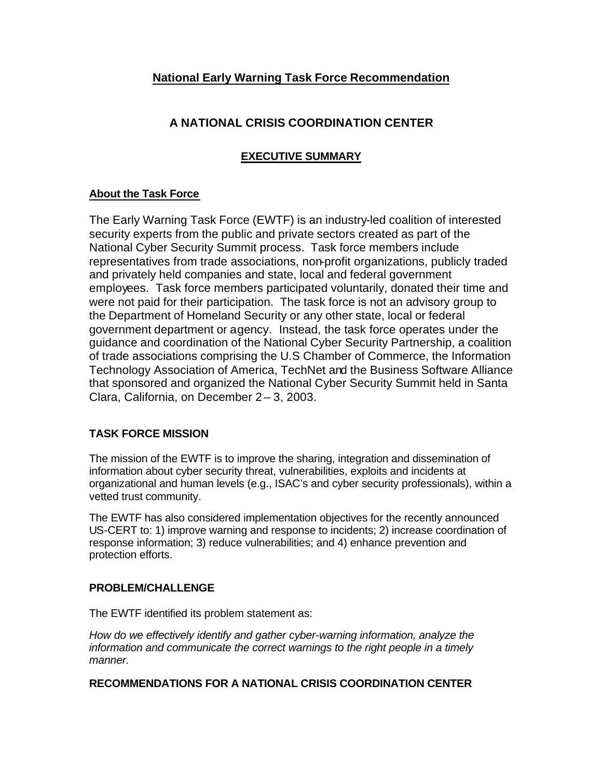# **National Early Warning Task Force Recommendation**

# **A NATIONAL CRISIS COORDINATION CENTER**

## **EXECUTIVE SUMMARY**

## **About the Task Force**

The Early Warning Task Force (EWTF) is an industry-led coalition of interested security experts from the public and private sectors created as part of the National Cyber Security Summit process. Task force members include representatives from trade associations, non-profit organizations, publicly traded and privately held companies and state, local and federal government employees. Task force members participated voluntarily, donated their time and were not paid for their participation. The task force is not an advisory group to the Department of Homeland Security or any other state, local or federal government department or agency. Instead, the task force operates under the guidance and coordination of the National Cyber Security Partnership, a coalition of trade associations comprising the U.S Chamber of Commerce, the Information Technology Association of America, TechNet and the Business Software Alliance that sponsored and organized the National Cyber Security Summit held in Santa Clara, California, on December 2 – 3, 2003.

## **TASK FORCE MISSION**

The mission of the EWTF is to improve the sharing, integration and dissemination of information about cyber security threat, vulnerabilities, exploits and incidents at organizational and human levels (e.g., ISAC's and cyber security professionals), within a vetted trust community.

The EWTF has also considered implementation objectives for the recently announced US-CERT to: 1) improve warning and response to incidents; 2) increase coordination of response information; 3) reduce vulnerabilities; and 4) enhance prevention and protection efforts.

#### **PROBLEM/CHALLENGE**

The EWTF identified its problem statement as:

*How do we effectively identify and gather cyber-warning information, analyze the information and communicate the correct warnings to the right people in a timely manner.*

#### **RECOMMENDATIONS FOR A NATIONAL CRISIS COORDINATION CENTER**